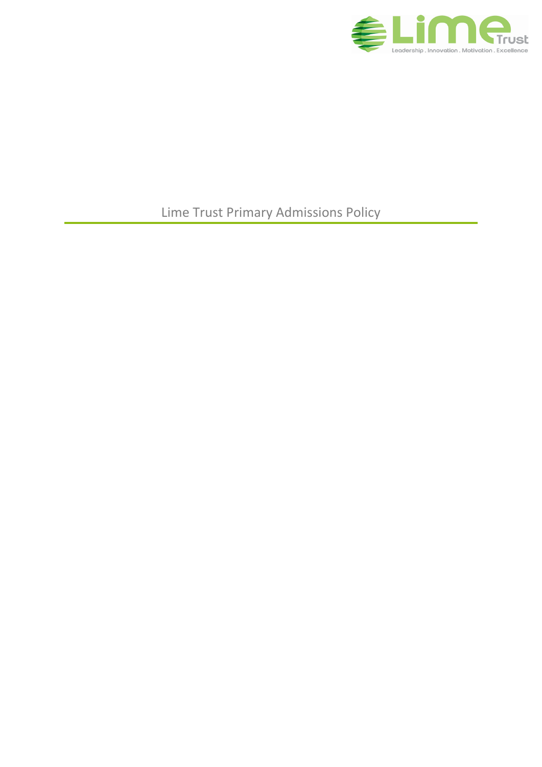

Lime Trust Primary Admissions Policy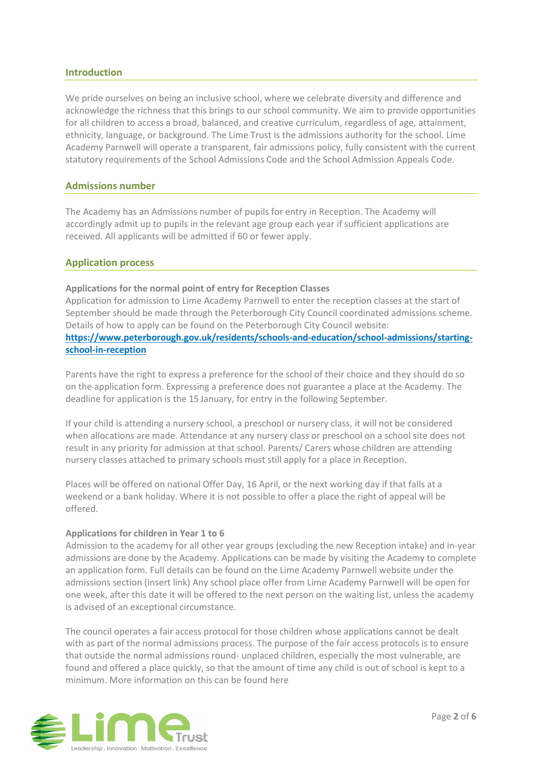### **Introduction**

We pride ourselves on being an inclusive school, where we celebrate diversity and difference and acknowledge the richness that this brings to our school community. We aim to provide opportunities for all children to access a broad, balanced, and creative curriculum, regardless of age, attainment, ethnicity, language, or background. The Lime Trust is the admissions authority for the school. Lime Academy Parnwell will operate a transparent, fair admissions policy, fully consistent with the current statutory requirements of the School Admissions Code and the School Admission Appeals Code.

### **Admissions number**

The Academy has an Admissions number of pupils for entry in Reception. The Academy will accordingly admit up to pupils in the relevant age group each year if sufficient applications are received. All applicants will be admitted if 60 or fewer apply.

### **Application process**

### **Applications for the normal point of entry for Reception Classes**

Application for admission to Lime Academy Parnwell to enter the reception classes at the start of September should be made through the Peterborough City Council coordinated admissions scheme. Details of how to apply can be found on the Peterborough City Council website: **[https://www.peterborough.gov.uk/residents/schools-and-education/school-admissions/starting](https://www.peterborough.gov.uk/residents/schools-and-education/school-admissions/starting-school-in-reception)[school-in-reception](https://www.peterborough.gov.uk/residents/schools-and-education/school-admissions/starting-school-in-reception)**

Parents have the right to express a preference for the school of their choice and they should do so on the application form. Expressing a preference does not guarantee a place at the Academy. The deadline for application is the 15 January, for entry in the following September.

If your child is attending a nursery school, a preschool or nursery class, it will not be considered when allocations are made. Attendance at any nursery class or preschool on a school site does not result in any priority for admission at that school. Parents/ Carers whose children are attending nursery classes attached to primary schools must still apply for a place in Reception.

Places will be offered on national Offer Day, 16 April, or the next working day if that falls at a weekend or a bank holiday. Where it is not possible to offer a place the right of appeal will be offered.

### **Applications for children in Year 1 to 6**

Admission to the academy for all other year groups (excluding the new Reception intake) and in-year admissions are done by the Academy. Applications can be made by visiting the Academy to complete an application form. Full details can be found on the Lime Academy Parnwell website under the admissions section (insert link) Any school place offer from Lime Academy Parnwell will be open for one week, after this date it will be offered to the next person on the waiting list, unless the academy is advised of an exceptional circumstance.

The council operates a fair access protocol for those children whose applications cannot be dealt with as part of the normal admissions process. The purpose of the fair access protocols is to ensure that outside the normal admissions round- unplaced children, especially the most vulnerable, are found and offered a place quickly, so that the amount of time any child is out of school is kept to a minimum. More information on this can be found here

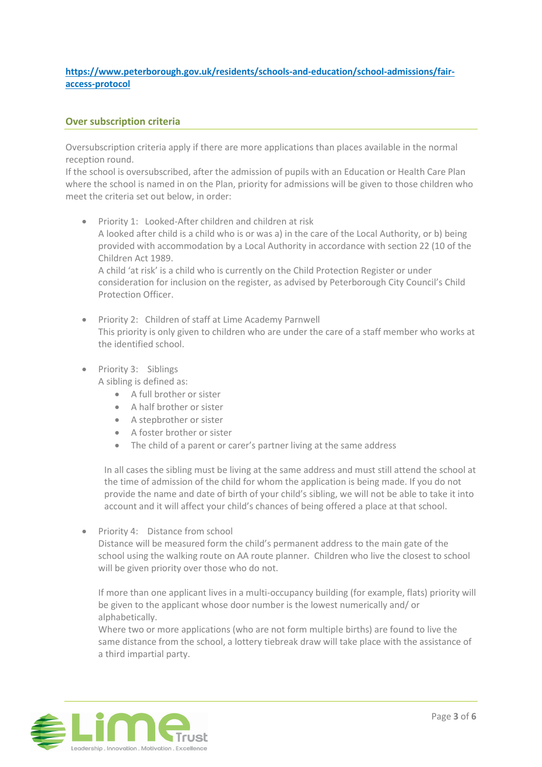# **[https://www.peterborough.gov.uk/residents/schools-and-education/school-admissions/fair](https://www.peterborough.gov.uk/residents/schools-and-education/school-admissions/fair-access-protocol)[access-protocol](https://www.peterborough.gov.uk/residents/schools-and-education/school-admissions/fair-access-protocol)**

# **Over subscription criteria**

Oversubscription criteria apply if there are more applications than places available in the normal reception round.

If the school is oversubscribed, after the admission of pupils with an Education or Health Care Plan where the school is named in on the Plan, priority for admissions will be given to those children who meet the criteria set out below, in order:

- Priority 1: Looked-After children and children at risk A looked after child is a child who is or was a) in the care of the Local Authority, or b) being provided with accommodation by a Local Authority in accordance with section 22 (10 of the Children Act 1989. A child 'at risk' is a child who is currently on the Child Protection Register or under consideration for inclusion on the register, as advised by Peterborough City Council's Child Protection Officer.
- Priority 2: Children of staff at Lime Academy Parnwell This priority is only given to children who are under the care of a staff member who works at the identified school.
- Priority 3: Siblings A sibling is defined as:
	- A full brother or sister
	- A half brother or sister
	- A stepbrother or sister
	- A foster brother or sister
	- The child of a parent or carer's partner living at the same address

In all cases the sibling must be living at the same address and must still attend the school at the time of admission of the child for whom the application is being made. If you do not provide the name and date of birth of your child's sibling, we will not be able to take it into account and it will affect your child's chances of being offered a place at that school.

Priority 4: Distance from school

Distance will be measured form the child's permanent address to the main gate of the school using the walking route on AA route planner. Children who live the closest to school will be given priority over those who do not.

If more than one applicant lives in a multi-occupancy building (for example, flats) priority will be given to the applicant whose door number is the lowest numerically and/ or alphabetically.

Where two or more applications (who are not form multiple births) are found to live the same distance from the school, a lottery tiebreak draw will take place with the assistance of a third impartial party.

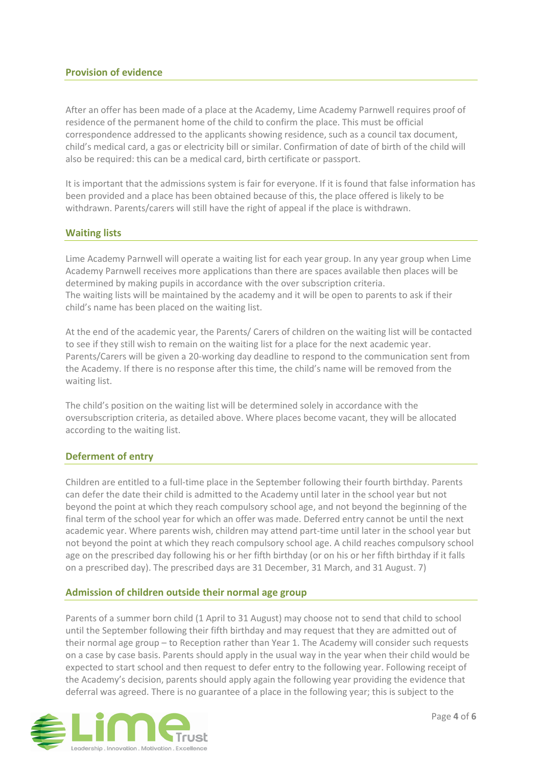# **Provision of evidence**

After an offer has been made of a place at the Academy, Lime Academy Parnwell requires proof of residence of the permanent home of the child to confirm the place. This must be official correspondence addressed to the applicants showing residence, such as a council tax document, child's medical card, a gas or electricity bill or similar. Confirmation of date of birth of the child will also be required: this can be a medical card, birth certificate or passport.

It is important that the admissions system is fair for everyone. If it is found that false information has been provided and a place has been obtained because of this, the place offered is likely to be withdrawn. Parents/carers will still have the right of appeal if the place is withdrawn.

### **Waiting lists**

Lime Academy Parnwell will operate a waiting list for each year group. In any year group when Lime Academy Parnwell receives more applications than there are spaces available then places will be determined by making pupils in accordance with the over subscription criteria. The waiting lists will be maintained by the academy and it will be open to parents to ask if their child's name has been placed on the waiting list.

At the end of the academic year, the Parents/ Carers of children on the waiting list will be contacted to see if they still wish to remain on the waiting list for a place for the next academic year. Parents/Carers will be given a 20-working day deadline to respond to the communication sent from the Academy. If there is no response after this time, the child's name will be removed from the waiting list.

The child's position on the waiting list will be determined solely in accordance with the oversubscription criteria, as detailed above. Where places become vacant, they will be allocated according to the waiting list.

### **Deferment of entry**

Children are entitled to a full-time place in the September following their fourth birthday. Parents can defer the date their child is admitted to the Academy until later in the school year but not beyond the point at which they reach compulsory school age, and not beyond the beginning of the final term of the school year for which an offer was made. Deferred entry cannot be until the next academic year. Where parents wish, children may attend part-time until later in the school year but not beyond the point at which they reach compulsory school age. A child reaches compulsory school age on the prescribed day following his or her fifth birthday (or on his or her fifth birthday if it falls on a prescribed day). The prescribed days are 31 December, 31 March, and 31 August. 7)

### **Admission of children outside their normal age group**

Parents of a summer born child (1 April to 31 August) may choose not to send that child to school until the September following their fifth birthday and may request that they are admitted out of their normal age group – to Reception rather than Year 1. The Academy will consider such requests on a case by case basis. Parents should apply in the usual way in the year when their child would be expected to start school and then request to defer entry to the following year. Following receipt of the Academy's decision, parents should apply again the following year providing the evidence that deferral was agreed. There is no guarantee of a place in the following year; this is subject to the

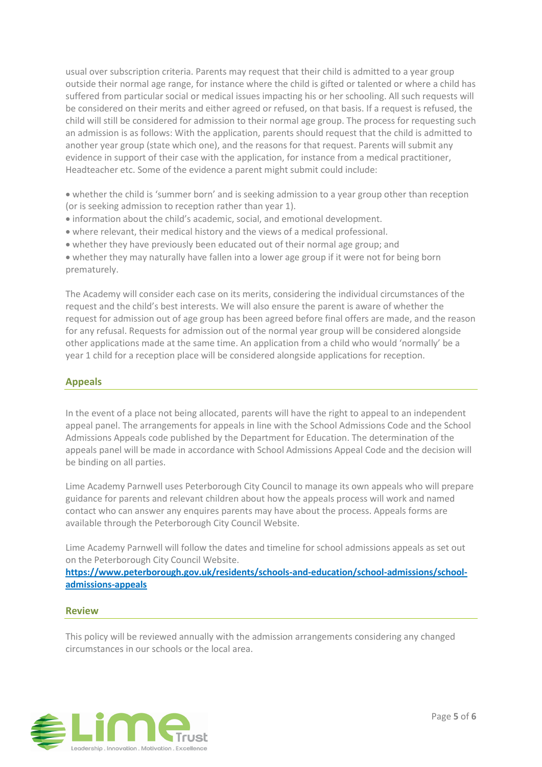usual over subscription criteria. Parents may request that their child is admitted to a year group outside their normal age range, for instance where the child is gifted or talented or where a child has suffered from particular social or medical issues impacting his or her schooling. All such requests will be considered on their merits and either agreed or refused, on that basis. If a request is refused, the child will still be considered for admission to their normal age group. The process for requesting such an admission is as follows: With the application, parents should request that the child is admitted to another year group (state which one), and the reasons for that request. Parents will submit any evidence in support of their case with the application, for instance from a medical practitioner, Headteacher etc. Some of the evidence a parent might submit could include:

 whether the child is 'summer born' and is seeking admission to a year group other than reception (or is seeking admission to reception rather than year 1).

- information about the child's academic, social, and emotional development.
- where relevant, their medical history and the views of a medical professional.
- whether they have previously been educated out of their normal age group; and

 whether they may naturally have fallen into a lower age group if it were not for being born prematurely.

The Academy will consider each case on its merits, considering the individual circumstances of the request and the child's best interests. We will also ensure the parent is aware of whether the request for admission out of age group has been agreed before final offers are made, and the reason for any refusal. Requests for admission out of the normal year group will be considered alongside other applications made at the same time. An application from a child who would 'normally' be a year 1 child for a reception place will be considered alongside applications for reception.

# **Appeals**

In the event of a place not being allocated, parents will have the right to appeal to an independent appeal panel. The arrangements for appeals in line with the School Admissions Code and the School Admissions Appeals code published by the Department for Education. The determination of the appeals panel will be made in accordance with School Admissions Appeal Code and the decision will be binding on all parties.

Lime Academy Parnwell uses Peterborough City Council to manage its own appeals who will prepare guidance for parents and relevant children about how the appeals process will work and named contact who can answer any enquires parents may have about the process. Appeals forms are available through the Peterborough City Council Website.

Lime Academy Parnwell will follow the dates and timeline for school admissions appeals as set out on the Peterborough City Council Website.

**[https://www.peterborough.gov.uk/residents/schools-and-education/school-admissions/school](https://www.peterborough.gov.uk/residents/schools-and-education/school-admissions/school-admissions-appeals)[admissions-appeals](https://www.peterborough.gov.uk/residents/schools-and-education/school-admissions/school-admissions-appeals)**

### **Review**

This policy will be reviewed annually with the admission arrangements considering any changed circumstances in our schools or the local area.